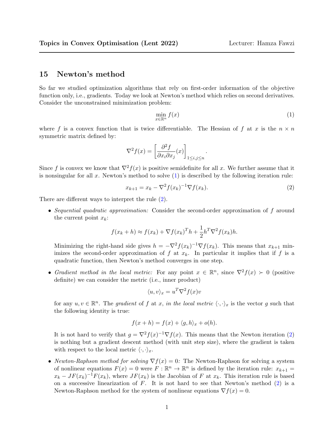## 15 Newton's method

So far we studied optimization algorithms that rely on first-order information of the objective function only, i.e., gradients. Today we look at Newton's method which relies on second derivatives. Consider the unconstrained minimization problem:

$$
\min_{x \in \mathbb{R}^n} f(x) \tag{1}
$$

where f is a convex function that is twice differentiable. The Hessian of f at x is the  $n \times n$ symmetric matrix defined by:

$$
\nabla^2 f(x) = \left[\frac{\partial^2 f}{\partial x_i \partial x_j}(x)\right]_{1 \le i,j \le n}
$$

Since f is convex we know that  $\nabla^2 f(x)$  is positive semidefinite for all x. We further assume that it is nonsingular for all x. Newton's method to solve  $(1)$  is described by the following iteration rule:

$$
x_{k+1} = x_k - \nabla^2 f(x_k)^{-1} \nabla f(x_k).
$$
 (2)

.

There are different ways to interpret the rule (2).

• Sequential quadratic approximation: Consider the second-order approximation of f around the current point  $x_k$ :

$$
f(x_k + h) \approx f(x_k) + \nabla f(x_k)^T h + \frac{1}{2} h^T \nabla^2 f(x_k) h.
$$

Minimizing the right-hand side gives  $h = -\nabla^2 f(x_k)^{-1} \nabla f(x_k)$ . This means that  $x_{k+1}$  minimizes the second-order approximation of f at  $x_k$ . In particular it implies that if f is a quadratic function, then Newton's method converges in one step.

• Gradient method in the local metric: For any point  $x \in \mathbb{R}^n$ , since  $\nabla^2 f(x) \succ 0$  (positive definite) we can consider the metric (i.e., inner product)

$$
\langle u, v \rangle_x = u^T \nabla^2 f(x) v
$$

for any  $u, v \in \mathbb{R}^n$ . The gradient of f at x, in the local metric  $\langle \cdot, \cdot \rangle_x$  is the vector g such that the following identity is true:

$$
f(x+h) = f(x) + \langle g, h \rangle_x + o(h).
$$

It is not hard to verify that  $g = \nabla^2 f(x)^{-1} \nabla f(x)$ . This means that the Newton iteration (2) is nothing but a gradient descent method (with unit step size), where the gradient is taken with respect to the local metric  $\langle \cdot, \cdot \rangle_x$ .

• Newton-Raphson method for solving  $\nabla f(x) = 0$ : The Newton-Raphson for solving a system of nonlinear equations  $F(x) = 0$  were  $F: \mathbb{R}^n \to \mathbb{R}^n$  is defined by the iteration rule:  $x_{k+1} =$  $x_k - JF(x_k)^{-1}F(x_k)$ , where  $JF(x_k)$  is the Jacobian of F at  $x_k$ . This iteration rule is based on a successive linearization of  $F$ . It is not hard to see that Newton's method  $(2)$  is a Newton-Raphson method for the system of nonlinear equations  $\nabla f(x) = 0$ .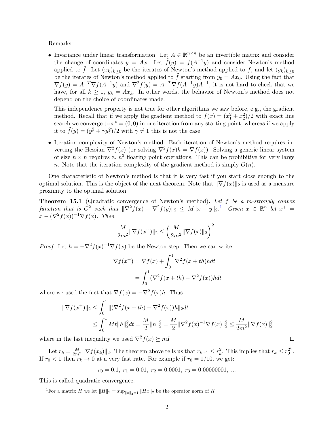Remarks:

• Invariance under linear transformation: Let  $A \in \mathbb{R}^{n \times n}$  be an invertible matrix and consider the change of coordinates  $y = Ax$ . Let  $\tilde{f}(y) = f(A^{-1}y)$  and consider Newton's method applied to  $\tilde{f}$ . Let  $(x_k)_{k>0}$  be the iterates of Newton's method applied to f, and let  $(y_k)_{k\geq 0}$ be the iterates of Newton's method applied to f starting from  $y_0 = Ax_0$ . Using the fact that  $\nabla \tilde{f}(y) = A^{-T} \nabla f(A^{-1}y)$  and  $\nabla^2 \tilde{f}(y) = A^{-T} \nabla f(A^{-1}y) A^{-1}$ , it is not hard to check that we have, for all  $k \ge 1$ ,  $y_k = Ax_k$ . In other words, the behavior of Newton's method does not depend on the choice of coordinates made.

This independence property is not true for other algorithms we saw before, e.g., the gradient method. Recall that if we apply the gradient method to  $f(x) = (x_1^2 + x_2^2)/2$  with exact line search we converge to  $x^* = (0,0)$  in one iteration from any starting point; whereas if we apply it to  $\tilde{f}(y) = (y_1^2 + \gamma y_2^2)/2$  with  $\gamma \neq 1$  this is not the case.

• Iteration complexity of Newton's method: Each iteration of Newton's method requires inverting the Hessian  $\nabla^2 f(x)$  (or solving  $\nabla^2 f(x)h = \nabla f(x)$ ). Solving a generic linear system of size  $n \times n$  requires  $\approx n^3$  floating point operations. This can be prohibitive for very large n. Note that the iteration complexity of the gradient method is simply  $O(n)$ .

One characteristic of Newton's method is that it is very fast if you start close enough to the optimal solution. This is the object of the next theorem. Note that  $\|\nabla f(x)\|_2$  is used as a measure proximity to the optimal solution.

Theorem 15.1 (Quadratic convergence of Newton's method). Let f be a m-strongly convex function that is  $C^2$  such that  $\|\nabla^2 f(x) - \nabla^2 f(y)\|_2 \leq M \|x - y\|_2$ .<sup>[1](#page-1-0)</sup> Given  $x \in \mathbb{R}^n$  let  $x^+ =$  $x - (\nabla^2 f(x))^{-1} \nabla f(x)$ . Then

$$
\frac{M}{2m^2} \|\nabla f(x^+) \|_2 \le \left( \frac{M}{2m^2} \|\nabla f(x) \|_2 \right)^2.
$$

*Proof.* Let  $h = -\nabla^2 f(x)^{-1} \nabla f(x)$  be the Newton step. Then we can write

$$
\nabla f(x^+) = \nabla f(x) + \int_0^1 \nabla^2 f(x+th)h dt
$$

$$
= \int_0^1 (\nabla^2 f(x+th) - \nabla^2 f(x))h dt
$$

where we used the fact that  $\nabla f(x) = -\nabla^2 f(x)h$ . Thus

$$
\begin{aligned} \|\nabla f(x^+) \|_2 &\leq \int_0^1 \| (\nabla^2 f(x + th) - \nabla^2 f(x)) h \|_2 dt \\ &\leq \int_0^1 Mt \|h\|_2^2 dt = \frac{M}{2} \|h\|_2^2 = \frac{M}{2} \|\nabla^2 f(x)^{-1} \nabla f(x) \|_2^2 \leq \frac{M}{2m^2} \|\nabla f(x) \|_2^2 \end{aligned}
$$

 $\Box$ 

where in the last inequality we used  $\nabla^2 f(x) \succeq mI$ .

Let  $r_k = \frac{M}{2m^2} \|\nabla f(x_k)\|_2$ . The theorem above tells us that  $r_{k+1} \leq r_k^2$ . This implies that  $r_k \leq r_0^{2^k}$  $\frac{2^n}{0}$ . If  $r_0 < 1$  then  $r_k \to 0$  at a very fast rate. For example if  $r_0 = 1/10$ , we get:

$$
r_0 = 0.1, r_1 = 0.01, r_2 = 0.0001, r_3 = 0.00000001, ...
$$

This is called quadratic convergence.

<span id="page-1-0"></span><sup>&</sup>lt;sup>1</sup>For a matrix H we let  $||H||_2 = \sup_{||x||_2=1} ||Hx||_2$  be the operator norm of H